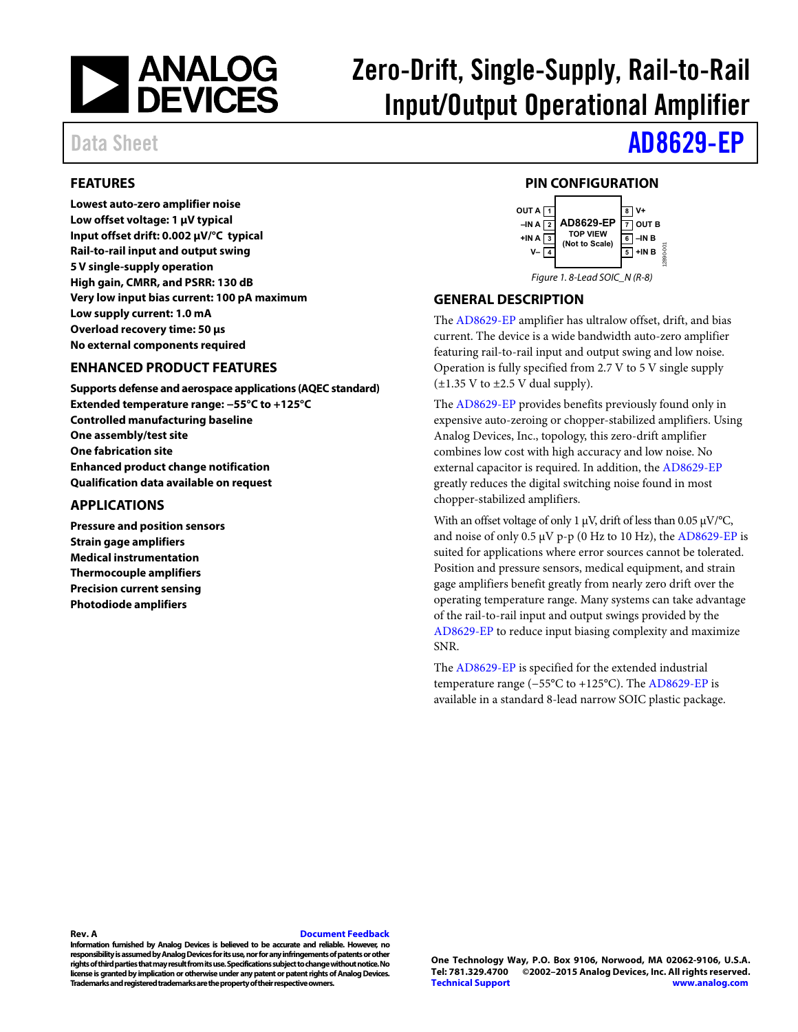

# Zero-Drift, Single-Supply, Rail-to-Rail Input/Output Operational Amplifier

### Data Sheet **[AD8629-EP](http://www.analog.com/AD8629?doc=AD8629-EP.pdf)**

#### <span id="page-0-0"></span>**FEATURES**

**Lowest auto-zero amplifier noise Low offset voltage: 1 μV typical Input offset drift: 0.002 μV/°C typical Rail-to-rail input and output swing 5 V single-supply operation High gain, CMRR, and PSRR: 130 dB Very low input bias current: 100 pA maximum Low supply current: 1.0 mA Overload recovery time: 50 μs No external components required** 

#### <span id="page-0-1"></span>**ENHANCED PRODUCT FEATURES**

**Supports defense and aerospace applications (AQEC standard) Extended temperature range: −55°C to +125°C Controlled manufacturing baseline One assembly/test site One fabrication site Enhanced product change notification Qualification data available on request** 

#### <span id="page-0-2"></span>**APPLICATIONS**

**Pressure and position sensors Strain gage amplifiers Medical instrumentation Thermocouple amplifiers Precision current sensing Photodiode amplifiers** 

#### **PIN CONFIGURATION**

<span id="page-0-3"></span>

#### <span id="page-0-4"></span>**GENERAL DESCRIPTION**

The [AD8629-EP](http://www.analog.com/AD8629?doc=AD8629-EP.pdf) amplifier has ultralow offset, drift, and bias current. The device is a wide bandwidth auto-zero amplifier featuring rail-to-rail input and output swing and low noise. Operation is fully specified from 2.7 V to 5 V single supply  $(\pm 1.35 \text{ V to } \pm 2.5 \text{ V dual supply}).$ 

The [AD8629-EP](http://www.analog.com/AD8629?doc=AD8629-EP.pdf) provides benefits previously found only in expensive auto-zeroing or chopper-stabilized amplifiers. Using Analog Devices, Inc., topology, this zero-drift amplifier combines low cost with high accuracy and low noise. No external capacitor is required. In addition, th[e AD8629-EP](http://www.analog.com/AD8629?doc=AD8629-EP.pdf) greatly reduces the digital switching noise found in most chopper-stabilized amplifiers.

With an offset voltage of only 1 μV, drift of less than 0.05 μV/°C, and noise of only  $0.5 \mu V$  p-p (0 Hz to 10 Hz), the [AD8629-EP](http://www.analog.com/AD8629?doc=AD8629-EP.pdf) is suited for applications where error sources cannot be tolerated. Position and pressure sensors, medical equipment, and strain gage amplifiers benefit greatly from nearly zero drift over the operating temperature range. Many systems can take advantage of the rail-to-rail input and output swings provided by the [AD8629-EP t](http://www.analog.com/AD8629?doc=AD8629-EP.pdf)o reduce input biasing complexity and maximize SNR.

The [AD8629-EP](http://www.analog.com/AD8629?doc=AD8629-EP.pdf) is specified for the extended industrial temperature range (−55°C to +125°C). The [AD8629-EP i](http://www.analog.com/AD8629?doc=AD8629-EP.pdf)s available in a standard 8-lead narrow SOIC plastic package.

#### **Rev. A [Document Feedback](https://form.analog.com/Form_Pages/feedback/documentfeedback.aspx?doc=AD8629-EP.pdf&product=AD8629-EP&rev=A)**

**Information furnished by Analog Devices is believed to be accurate and reliable. However, no responsibility is assumed by Analog Devices for its use, nor for any infringements of patents or other rights of third parties that may result from its use. Specifications subject to change without notice. No license is granted by implication or otherwise under any patent or patent rights of Analog Devices. Trademarks and registered trademarks are the property of their respective owners.**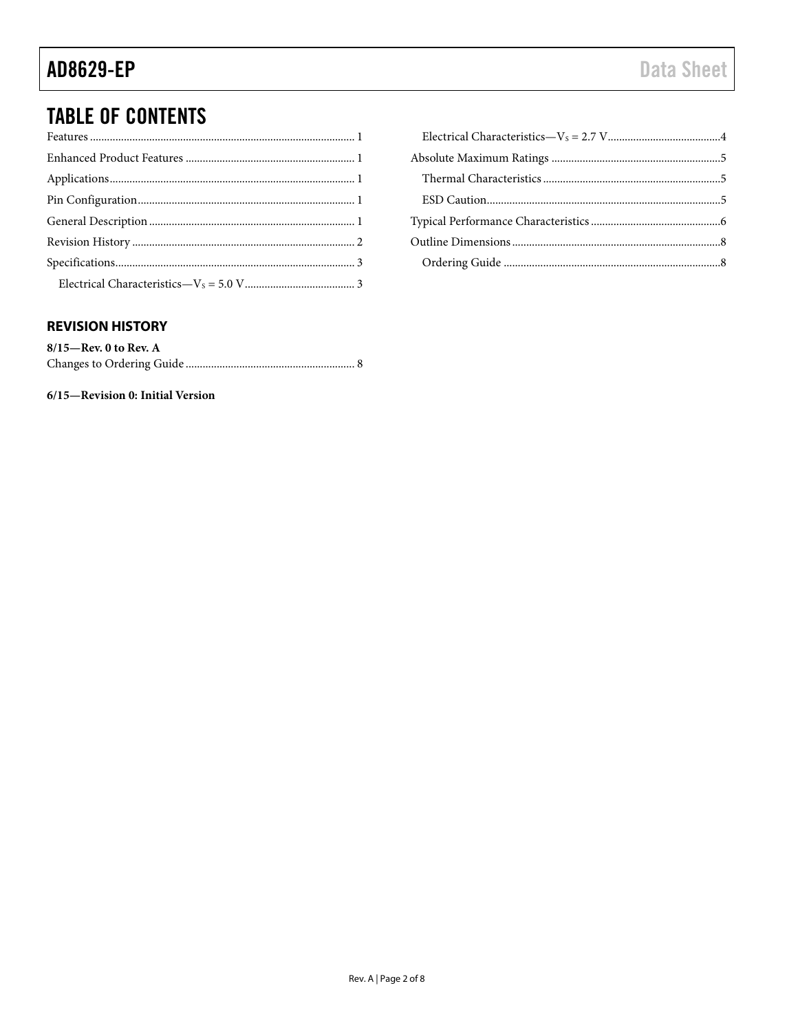### **TABLE OF CONTENTS**

#### <span id="page-1-0"></span>**REVISION HISTORY**

| $8/15$ —Rev. 0 to Rev. A |  |
|--------------------------|--|
|                          |  |

6/15-Revision 0: Initial Version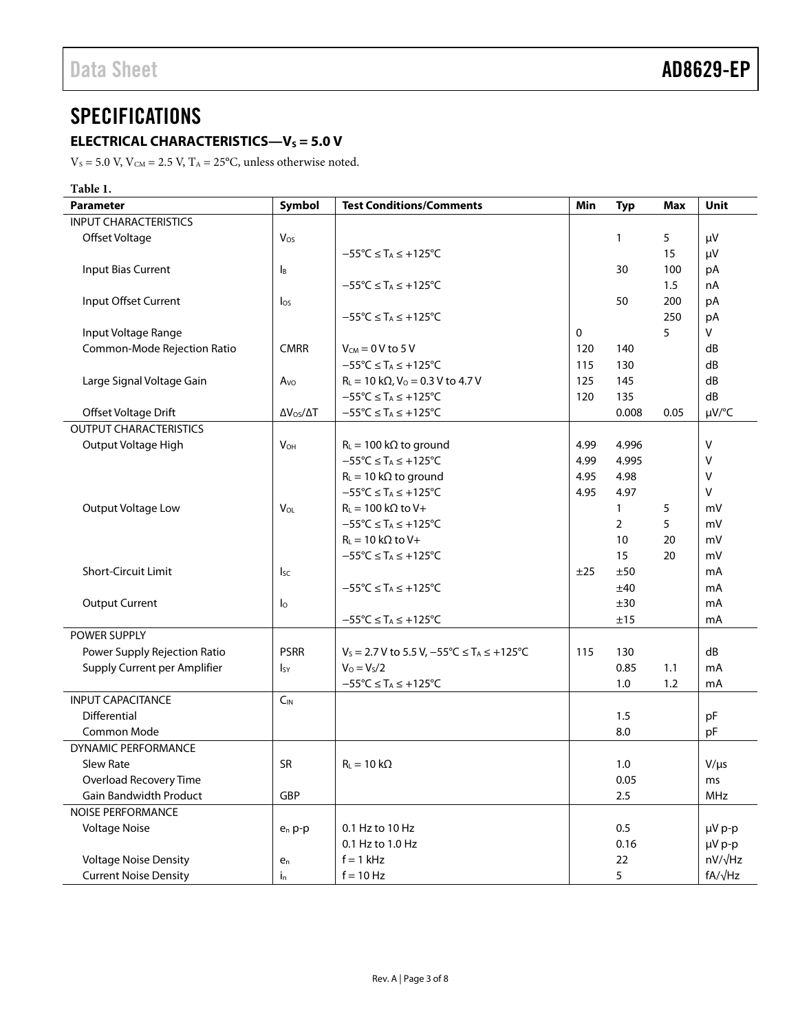### <span id="page-2-0"></span>**SPECIFICATIONS**

### <span id="page-2-1"></span>**ELECTRICAL CHARACTERISTICS—V<sub>S</sub> = 5.0 V**

 $\rm V_S$  = 5.0 V,  $\rm V_{\rm CM}$  = 2.5 V,  $\rm T_A$  = 25°C, unless otherwise noted.

| Table 1.                      |                           |                                                                  |      |                |      |                |
|-------------------------------|---------------------------|------------------------------------------------------------------|------|----------------|------|----------------|
| <b>Parameter</b>              | Symbol                    | <b>Test Conditions/Comments</b>                                  | Min  | <b>Typ</b>     | Max  | <b>Unit</b>    |
| <b>INPUT CHARACTERISTICS</b>  |                           |                                                                  |      |                |      |                |
| Offset Voltage                | Vos                       |                                                                  |      | 1              | 5    | μV             |
|                               |                           | $-55^{\circ}C \leq T_A \leq +125^{\circ}C$                       |      |                | 15   | μV             |
| Input Bias Current            | $\mathsf{I}_{\mathsf{B}}$ |                                                                  |      | 30             | 100  | pA             |
|                               |                           | $-55^{\circ}C \leq T_A \leq +125^{\circ}C$                       |      |                | 1.5  | nA             |
| Input Offset Current          | $\log$                    |                                                                  |      | 50             | 200  | pA             |
|                               |                           | $-55^{\circ}C \leq T_A \leq +125^{\circ}C$                       |      |                | 250  | pA             |
| Input Voltage Range           |                           |                                                                  | 0    |                | 5    | V              |
| Common-Mode Rejection Ratio   | <b>CMRR</b>               | $V_{CM} = 0 V$ to 5 V                                            | 120  | 140            |      | dB             |
|                               |                           | $-55^{\circ}$ C $\leq$ T <sub>A</sub> $\leq$ +125°C              | 115  | 130            |      | dB             |
| Large Signal Voltage Gain     | A <sub>VO</sub>           | $R_L = 10 k\Omega$ , $V_0 = 0.3 V$ to 4.7 V                      | 125  | 145            |      | dB             |
|                               |                           | $-55^{\circ}C \leq T_A \leq +125^{\circ}C$                       | 120  | 135            |      | dB             |
| Offset Voltage Drift          | $\Delta V_{OS}/\Delta T$  | $-55^{\circ}C \leq T_A \leq +125^{\circ}C$                       |      | 0.008          | 0.05 | µV/°C          |
| <b>OUTPUT CHARACTERISTICS</b> |                           |                                                                  |      |                |      |                |
| Output Voltage High           | $V_{OH}$                  | $R_L = 100 \text{ k}\Omega$ to ground                            | 4.99 | 4.996          |      | v              |
|                               |                           | $-55^{\circ}C \leq T_A \leq +125^{\circ}C$                       | 4.99 | 4.995          |      | v              |
|                               |                           | $R_L = 10 k\Omega$ to ground                                     | 4.95 | 4.98           |      | v              |
|                               |                           | $-55^{\circ}$ C $\leq$ T <sub>A</sub> $\leq$ +125 $^{\circ}$ C   | 4.95 | 4.97           |      | v              |
| Output Voltage Low            | $V_{OL}$                  | $R_L = 100 k\Omega$ to V+                                        |      | $\mathbf{1}$   | 5    | mV             |
|                               |                           | $-55^{\circ}C \leq T_A \leq +125^{\circ}C$                       |      | $\overline{2}$ | 5    | mV             |
|                               |                           | $R_L = 10 k\Omega$ to V+                                         |      | 10             | 20   | mV             |
|                               |                           | $-55^{\circ}C \leq T_A \leq +125^{\circ}C$                       |      | 15             | 20   | mV             |
| Short-Circuit Limit           | $I_{SC}$                  |                                                                  | ±25  | ±50            |      | mA             |
|                               |                           | $-55^{\circ}$ C $\leq$ T <sub>A</sub> $\leq$ +125°C              |      | ±40            |      | mA             |
| <b>Output Current</b>         | $\mathsf{I}_\mathsf{O}$   |                                                                  |      | ±30            |      | mA             |
|                               |                           | $-55^{\circ}C \leq T_A \leq +125^{\circ}C$                       |      | ±15            |      | mA             |
| POWER SUPPLY                  |                           |                                                                  |      |                |      |                |
| Power Supply Rejection Ratio  | <b>PSRR</b>               | $V_S = 2.7 V$ to 5.5 V, $-55^{\circ}C \le T_A \le +125^{\circ}C$ | 115  | 130            |      | dB             |
| Supply Current per Amplifier  | $I_{SY}$                  | $V_0 = V_s/2$                                                    |      | 0.85           | 1.1  | mA             |
|                               |                           | $-55^{\circ}C \leq T_A \leq +125^{\circ}C$                       |      | 1.0            | 1.2  | mA             |
| <b>INPUT CAPACITANCE</b>      | $C_{IN}$                  |                                                                  |      |                |      |                |
| Differential                  |                           |                                                                  |      | 1.5            |      | pF             |
| Common Mode                   |                           |                                                                  |      | 8.0            |      | pF             |
| <b>DYNAMIC PERFORMANCE</b>    |                           |                                                                  |      |                |      |                |
| Slew Rate                     | SR                        | $R_L = 10 k\Omega$                                               |      | 1.0            |      | $V/\mu s$      |
| Overload Recovery Time        |                           |                                                                  |      | 0.05           |      | ms             |
| <b>Gain Bandwidth Product</b> | GBP                       |                                                                  |      | 2.5            |      | MHz            |
| <b>NOISE PERFORMANCE</b>      |                           |                                                                  |      |                |      |                |
| <b>Voltage Noise</b>          | $e_n$ p-p                 | 0.1 Hz to 10 Hz                                                  |      | 0.5            |      | µV p-p         |
|                               |                           | 0.1 Hz to 1.0 Hz                                                 |      | 0.16           |      | µV p-p         |
| <b>Voltage Noise Density</b>  | $e_n$                     | $f = 1$ kHz                                                      |      | 22             |      | nV/√Hz         |
|                               |                           |                                                                  |      |                |      |                |
| <b>Current Noise Density</b>  | $i_{n}$                   | $f = 10 Hz$                                                      |      | 5              |      | $fA/\sqrt{Hz}$ |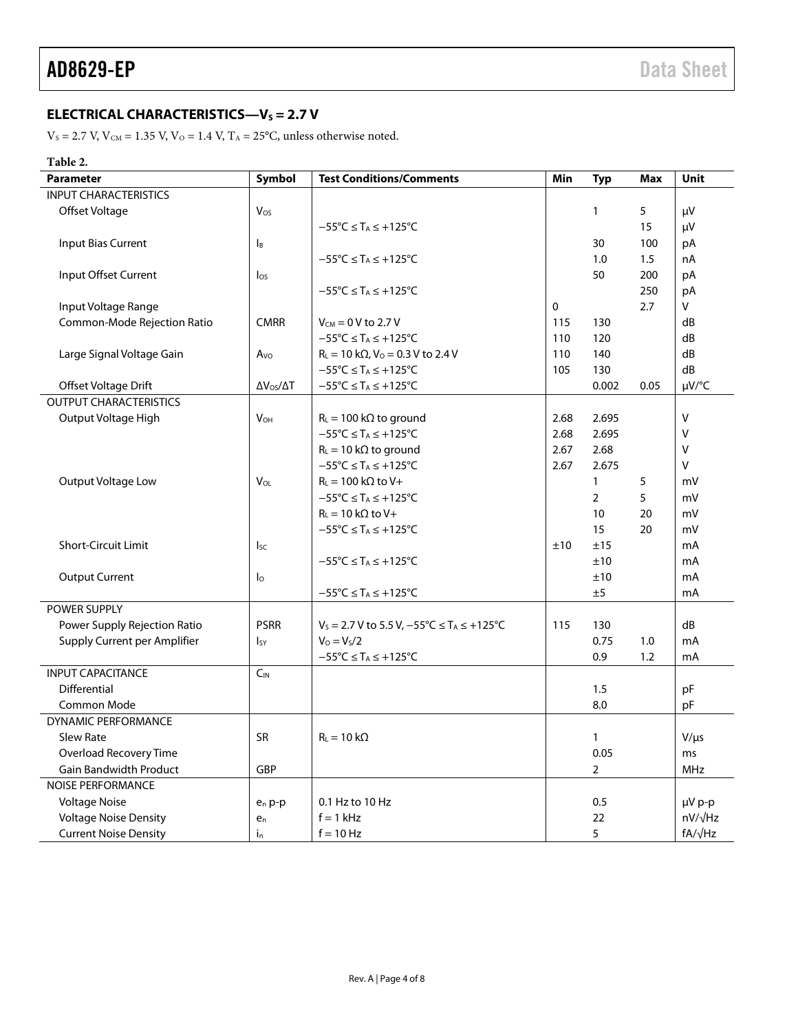#### <span id="page-3-0"></span>**ELECTRICAL CHARACTERISTICS—V<sub>S</sub> = 2.7 V**

 $\rm V_S$  = 2.7 V,  $\rm V_{\rm CM}$  = 1.35 V,  $\rm V_{\rm O}$  = 1.4 V,  $\rm T_A$  = 25°C, unless otherwise noted.

#### **Table 2.**

| <b>Parameter</b>              | Symbol                    | <b>Test Conditions/Comments</b>                                  | Min         | <b>Typ</b>     | Max  | Unit           |
|-------------------------------|---------------------------|------------------------------------------------------------------|-------------|----------------|------|----------------|
| <b>INPUT CHARACTERISTICS</b>  |                           |                                                                  |             |                |      |                |
| Offset Voltage                | Vos                       |                                                                  |             | $\mathbf{1}$   | 5    | μV             |
|                               |                           | $-55^{\circ}$ C $\leq$ T <sub>A</sub> $\leq$ +125°C              |             |                | 15   | μV             |
| <b>Input Bias Current</b>     | $\mathsf{I}_{\mathsf{B}}$ |                                                                  |             | 30             | 100  | pA             |
|                               |                           | $-55^{\circ}$ C $\leq$ T <sub>A</sub> $\leq$ +125°C              |             | 1.0            | 1.5  | nA             |
| Input Offset Current          | $\log$                    |                                                                  |             | 50             | 200  | pA             |
|                               |                           | $-55^{\circ}$ C $\leq$ T <sub>A</sub> $\leq$ +125°C              |             |                | 250  | pA             |
| Input Voltage Range           |                           |                                                                  | $\mathbf 0$ |                | 2.7  | v              |
| Common-Mode Rejection Ratio   | <b>CMRR</b>               | $V_{CM} = 0$ V to 2.7 V                                          | 115         | 130            |      | dB             |
|                               |                           | $-55^{\circ}C \leq T_A \leq +125^{\circ}C$                       | 110         | 120            |      | dB             |
| Large Signal Voltage Gain     | A <sub>VO</sub>           | $R_L = 10 k\Omega$ , $V_0 = 0.3 V$ to 2.4 V                      | 110         | 140            |      | dB             |
|                               |                           | $-55^{\circ}C \leq T_A \leq +125^{\circ}C$                       | 105         | 130            |      | dB             |
| Offset Voltage Drift          | $\Delta V_{OS}/\Delta T$  | $-55^{\circ}C \leq T_A \leq +125^{\circ}C$                       |             | 0.002          | 0.05 | µV/°C          |
| <b>OUTPUT CHARACTERISTICS</b> |                           |                                                                  |             |                |      |                |
| Output Voltage High           | $V_{OH}$                  | $R_L = 100 \text{ k}\Omega$ to ground                            | 2.68        | 2.695          |      | V              |
|                               |                           | $-55^{\circ}C \leq T_A \leq +125^{\circ}C$                       | 2.68        | 2.695          |      | V              |
|                               |                           | $R_L = 10 k\Omega$ to ground                                     | 2.67        | 2.68           |      | V              |
|                               |                           | $-55^{\circ}C \leq T_A \leq +125^{\circ}C$                       | 2.67        | 2.675          |      | V              |
| Output Voltage Low            | V <sub>OL</sub>           | $R_{L} = 100 \text{ k}\Omega$ to V+                              |             | $\mathbf{1}$   | 5    | mV             |
|                               |                           | $-55^{\circ}$ C $\leq$ T <sub>A</sub> $\leq$ +125°C              |             | $\overline{2}$ | 5    | mV             |
|                               |                           | $R_{L} = 10 k\Omega$ to V+                                       |             | 10             | 20   | mV             |
|                               |                           | $-55^{\circ}C \leq T_A \leq +125^{\circ}C$                       |             | 15             | 20   | mV             |
| <b>Short-Circuit Limit</b>    | $I_{SC}$                  |                                                                  | ±10         | ±15            |      | mA             |
|                               |                           | $-55^{\circ}C \leq T_A \leq +125^{\circ}C$                       |             | ±10            |      | mA             |
| <b>Output Current</b>         | $\mathsf{I}_\mathsf{O}$   |                                                                  |             | ±10            |      | mA             |
|                               |                           | $-55^{\circ}$ C $\leq$ T <sub>A</sub> $\leq$ +125°C              |             | ±5             |      | mA             |
| POWER SUPPLY                  |                           |                                                                  |             |                |      |                |
| Power Supply Rejection Ratio  | <b>PSRR</b>               | $V_S = 2.7 V$ to 5.5 V, $-55^{\circ}C \le T_A \le +125^{\circ}C$ | 115         | 130            |      | dB             |
| Supply Current per Amplifier  | $I_{SY}$                  | $V_0 = V_s/2$                                                    |             | 0.75           | 1.0  | mA             |
|                               |                           | $-55^{\circ}C \leq T_A \leq +125^{\circ}C$                       |             | 0.9            | 1.2  | mA             |
| <b>INPUT CAPACITANCE</b>      | $C_{\text{IN}}$           |                                                                  |             |                |      |                |
| Differential                  |                           |                                                                  |             | 1.5            |      | pF             |
| Common Mode                   |                           |                                                                  |             | 8.0            |      | pF             |
| <b>DYNAMIC PERFORMANCE</b>    |                           |                                                                  |             |                |      |                |
| <b>Slew Rate</b>              | <b>SR</b>                 | $R_L = 10 k\Omega$                                               |             | $\mathbf{1}$   |      | $V/\mu s$      |
| Overload Recovery Time        |                           |                                                                  |             | 0.05           |      | ms             |
| <b>Gain Bandwidth Product</b> | GBP                       |                                                                  |             | $\overline{2}$ |      | <b>MHz</b>     |
| <b>NOISE PERFORMANCE</b>      |                           |                                                                  |             |                |      |                |
| <b>Voltage Noise</b>          | $e_n$ p-p                 | 0.1 Hz to 10 Hz                                                  |             | 0.5            |      | µV p-p         |
| <b>Voltage Noise Density</b>  | $e_n$                     | $f = 1$ kHz                                                      |             | 22             |      | nV/√Hz         |
| <b>Current Noise Density</b>  | $i_{n}$                   | $f = 10$ Hz                                                      |             | 5              |      | $fA/\sqrt{Hz}$ |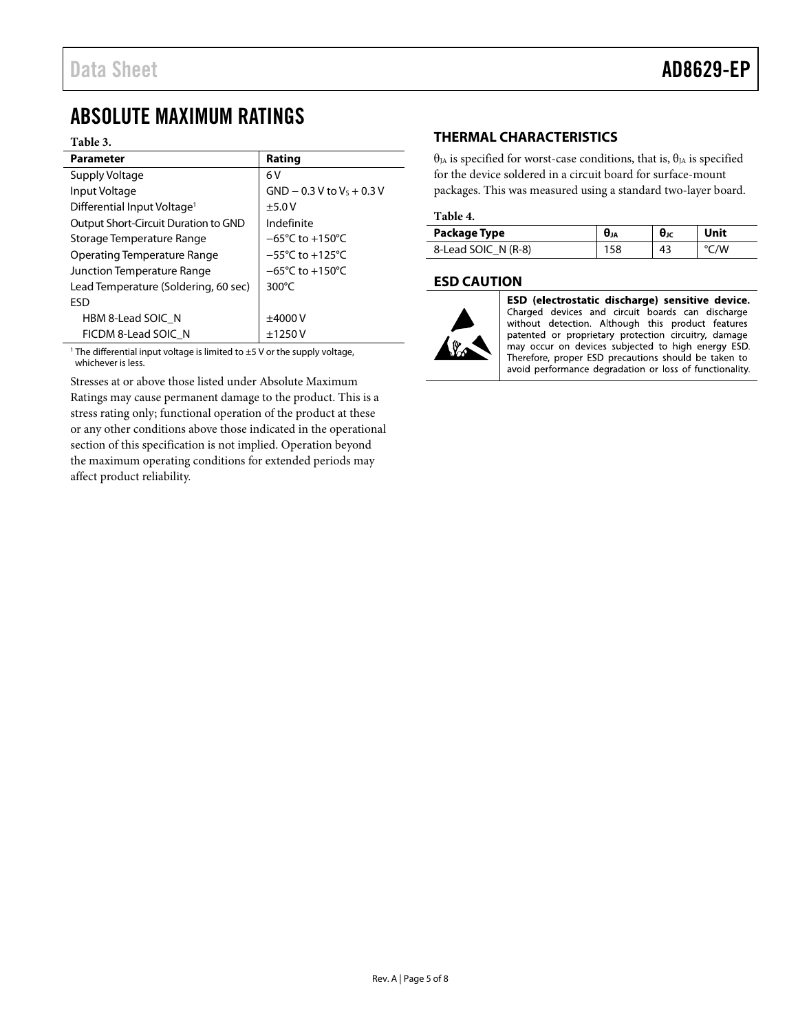### <span id="page-4-0"></span>ABSOLUTE MAXIMUM RATINGS

#### **Table 3.**

| <b>Parameter</b>                        | Rating                              |
|-----------------------------------------|-------------------------------------|
| Supply Voltage                          | 6 V                                 |
| Input Voltage                           | $GND - 0.3 V to V5 + 0.3 V$         |
| Differential Input Voltage <sup>1</sup> | ±5.0V                               |
| Output Short-Circuit Duration to GND    | Indefinite                          |
| Storage Temperature Range               | $-65^{\circ}$ C to $+150^{\circ}$ C |
| Operating Temperature Range             | $-55^{\circ}$ C to $+125^{\circ}$ C |
| Junction Temperature Range              | $-65^{\circ}$ C to $+150^{\circ}$ C |
| Lead Temperature (Soldering, 60 sec)    | 300 $\degree$ C                     |
| <b>FSD</b>                              |                                     |
| HBM 8-Lead SOIC N                       | ±4000V                              |
| FICDM 8-Lead SOIC N                     | ±1250V                              |

The differential input voltage is limited to  $\pm$ 5 V or the supply voltage, whichever is less.

Stresses at or above those listed under Absolute Maximum Ratings may cause permanent damage to the product. This is a stress rating only; functional operation of the product at these or any other conditions above those indicated in the operational section of this specification is not implied. Operation beyond the maximum operating conditions for extended periods may affect product reliability.

#### <span id="page-4-1"></span>**THERMAL CHARACTERISTICS**

θ<sub>JA</sub> is specified for worst-case conditions, that is, θ<sub>JA</sub> is specified for the device soldered in a circuit board for surface-mount packages. This was measured using a standard two-layer board.

#### **Table 4.**

| Package Type        | <b>U</b> JA | θıc | Unit             |
|---------------------|-------------|-----|------------------|
| 8-Lead SOIC N (R-8) | 58          | 43  | $\sim$ /W $\sim$ |

#### <span id="page-4-2"></span>**ESD CAUTION**



ESD (electrostatic discharge) sensitive device. Charged devices and circuit boards can discharge without detection. Although this product features patented or proprietary protection circuitry, damage may occur on devices subjected to high energy ESD. Therefore, proper ESD precautions should be taken to avoid performance degradation or loss of functionality.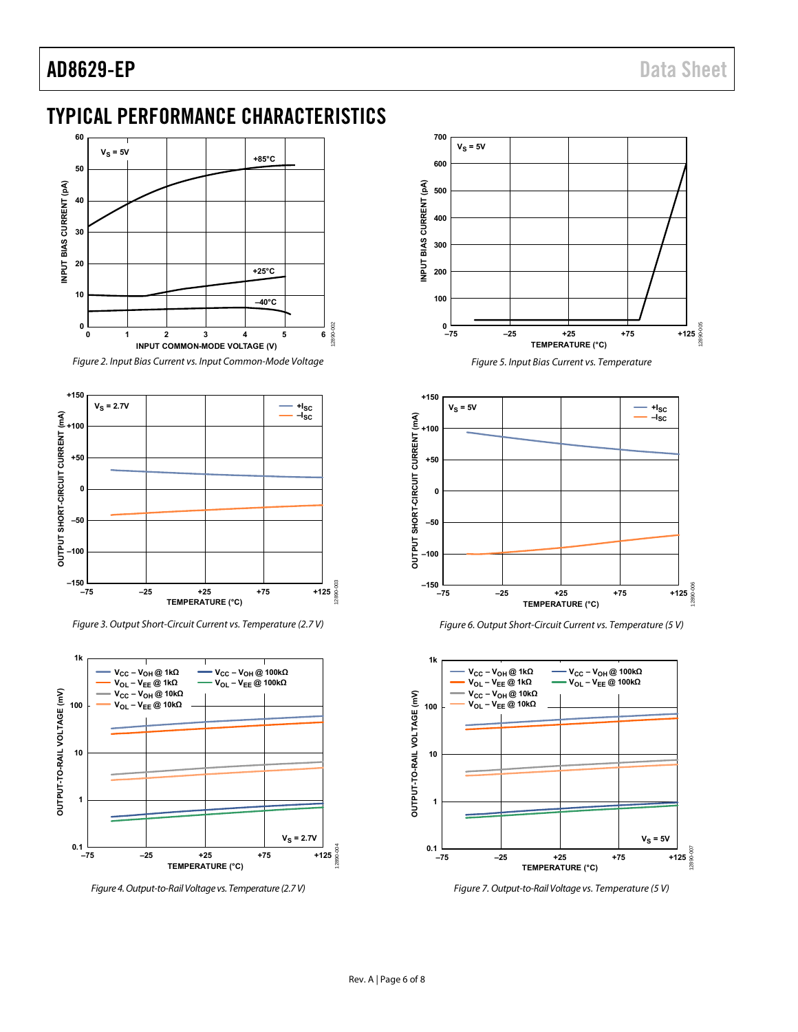### AD8629-EP Data Sheet

### <span id="page-5-0"></span>TYPICAL PERFORMANCE CHARACTERISTICS



Figure 2. Input Bias Current vs. Input Common-Mode Voltage



Figure 3. Output Short-Circuit Current vs. Temperature (2.7 V)



Figure 4. Output-to-Rail Voltage vs. Temperature (2.7 V)



Figure 5. Input Bias Current vs. Temperature







Figure 7. Output-to-Rail Voltage vs. Temperature (5 V)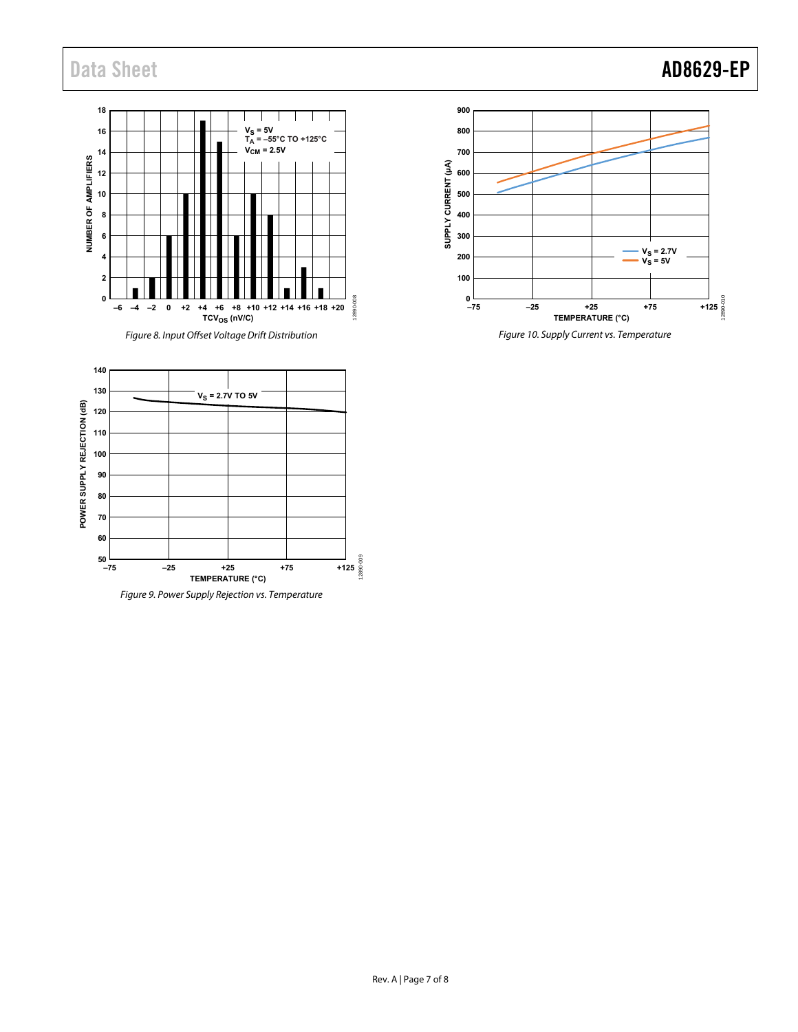## Data Sheet **AD8629-EP**





**140 130**  $V_S = 2.7V$  TO 5V POWER SUPPLY REJECTION (dB) **POWER SUPPLY REJECTION (dB) 120 110 100 90 80 70 60**  $\frac{1}{-75}$ 12890-009 **–75 –25 +25 +75 +125 TEMPERATURE (°C)**

Figure 9. Power Supply Rejection vs. Temperature